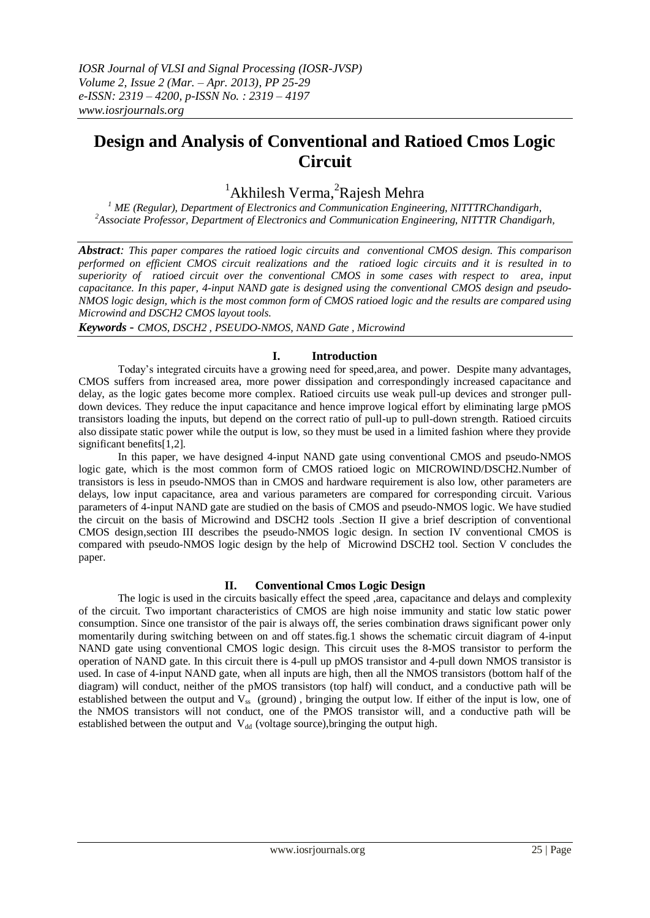# **Design and Analysis of Conventional and Ratioed Cmos Logic Circuit**

## <sup>1</sup> Akhilesh Verma, <sup>2</sup>Rajesh Mehra

*<sup>1</sup> ME (Regular), Department of Electronics and Communication Engineering, NITTTRChandigarh, <sup>2</sup>Associate Professor, Department of Electronics and Communication Engineering, NITTTR Chandigarh,* 

*Abstract: This paper compares the ratioed logic circuits and conventional CMOS design. This comparison performed on efficient CMOS circuit realizations and the ratioed logic circuits and it is resulted in to superiority of ratioed circuit over the conventional CMOS in some cases with respect to area, input capacitance. In this paper, 4-input NAND gate is designed using the conventional CMOS design and pseudo-NMOS logic design, which is the most common form of CMOS ratioed logic and the results are compared using Microwind and DSCH2 CMOS layout tools.*

*Keywords - CMOS, DSCH2 , PSEUDO-NMOS, NAND Gate , Microwind*

## **I. Introduction**

Today's integrated circuits have a growing need for speed,area, and power. Despite many advantages, CMOS suffers from increased area, more power dissipation and correspondingly increased capacitance and delay, as the logic gates become more complex. Ratioed circuits use weak pull-up devices and stronger pulldown devices. They reduce the input capacitance and hence improve logical effort by eliminating large pMOS transistors loading the inputs, but depend on the correct ratio of pull-up to pull-down strength. Ratioed circuits also dissipate static power while the output is low, so they must be used in a limited fashion where they provide significant benefits[1,2].

In this paper, we have designed 4-input NAND gate using conventional CMOS and pseudo-NMOS logic gate, which is the most common form of CMOS ratioed logic on MICROWIND/DSCH2.Number of transistors is less in pseudo-NMOS than in CMOS and hardware requirement is also low, other parameters are delays, low input capacitance, area and various parameters are compared for corresponding circuit. Various parameters of 4-input NAND gate are studied on the basis of CMOS and pseudo-NMOS logic. We have studied the circuit on the basis of Microwind and DSCH2 tools .Section II give a brief description of conventional CMOS design,section III describes the pseudo-NMOS logic design. In section IV conventional CMOS is compared with pseudo-NMOS logic design by the help of Microwind DSCH2 tool. Section V concludes the paper.

## **II. Conventional Cmos Logic Design**

The logic is used in the circuits basically effect the speed ,area, capacitance and delays and complexity of the circuit. Two important characteristics of CMOS are high noise immunity and static low static power consumption. Since one transistor of the pair is always off, the series combination draws significant power only momentarily during switching between on and off states.fig.1 shows the schematic circuit diagram of 4-input NAND gate using conventional CMOS logic design. This circuit uses the 8-MOS transistor to perform the operation of NAND gate. In this circuit there is 4-pull up pMOS transistor and 4-pull down NMOS transistor is used. In case of 4-input NAND gate, when all inputs are high, then all the NMOS transistors (bottom half of the diagram) will conduct, neither of the pMOS transistors (top half) will conduct, and a conductive path will be established between the output and  $V_{ss}$  (ground), bringing the output low. If either of the input is low, one of the NMOS transistors will not conduct, one of the PMOS transistor will, and a conductive path will be established between the output and  $V_{dd}$  (voltage source), bringing the output high.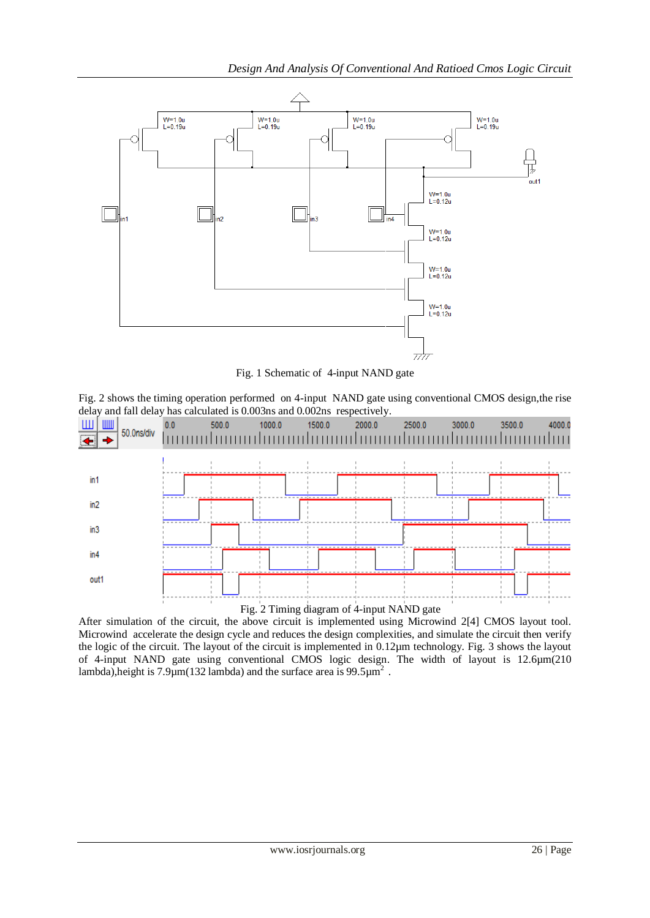

Fig. 1 Schematic of 4-input NAND gate

Fig. 2 shows the timing operation performed on 4-input NAND gate using conventional CMOS design,the rise delay and fall delay has calculated is 0.003ns and 0.002ns respectively.



After simulation of the circuit, the above circuit is implemented using Microwind 2[4] CMOS layout tool. Microwind accelerate the design cycle and reduces the design complexities, and simulate the circuit then verify the logic of the circuit. The layout of the circuit is implemented in 0.12µm technology. Fig. 3 shows the layout of 4-input NAND gate using conventional CMOS logic design. The width of layout is 12.6µm(210 lambda),height is 7.9 $\mu$ m(132 lambda) and the surface area is 99.5 $\mu$ m<sup>2</sup>.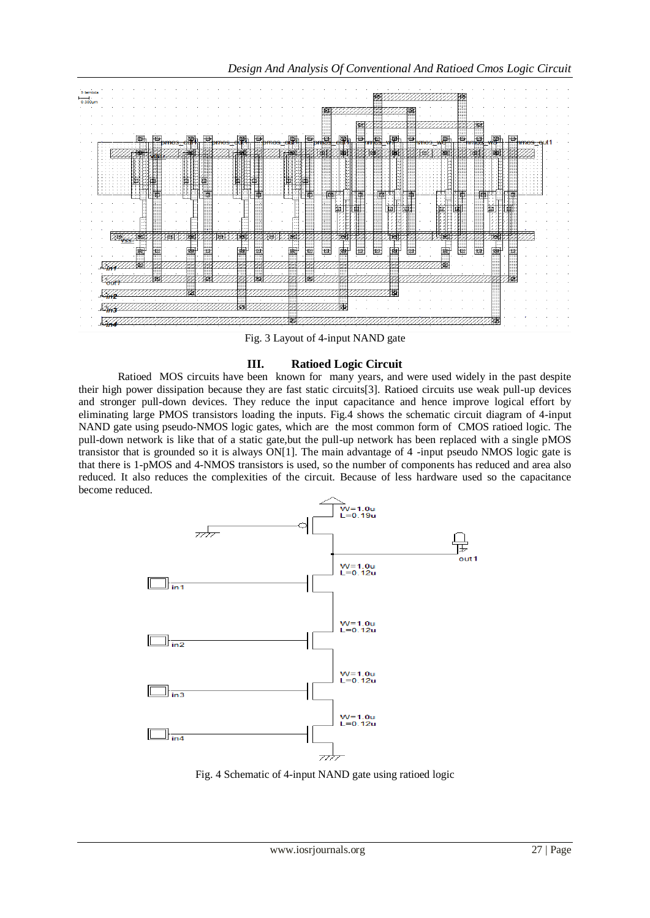

Fig. 3 Layout of 4-input NAND gate

#### **III. Ratioed Logic Circuit**

Ratioed MOS circuits have been known for many years, and were used widely in the past despite their high power dissipation because they are fast static circuits[3]. Ratioed circuits use weak pull-up devices and stronger pull-down devices. They reduce the input capacitance and hence improve logical effort by eliminating large PMOS transistors loading the inputs. Fig.4 shows the schematic circuit diagram of 4-input NAND gate using pseudo-NMOS logic gates, which are the most common form of CMOS ratioed logic. The pull-down network is like that of a static gate,but the pull-up network has been replaced with a single pMOS transistor that is grounded so it is always ON[1]. The main advantage of 4 -input pseudo NMOS logic gate is that there is 1-pMOS and 4-NMOS transistors is used, so the number of components has reduced and area also reduced. It also reduces the complexities of the circuit. Because of less hardware used so the capacitance become reduced.



Fig. 4 Schematic of 4-input NAND gate using ratioed logic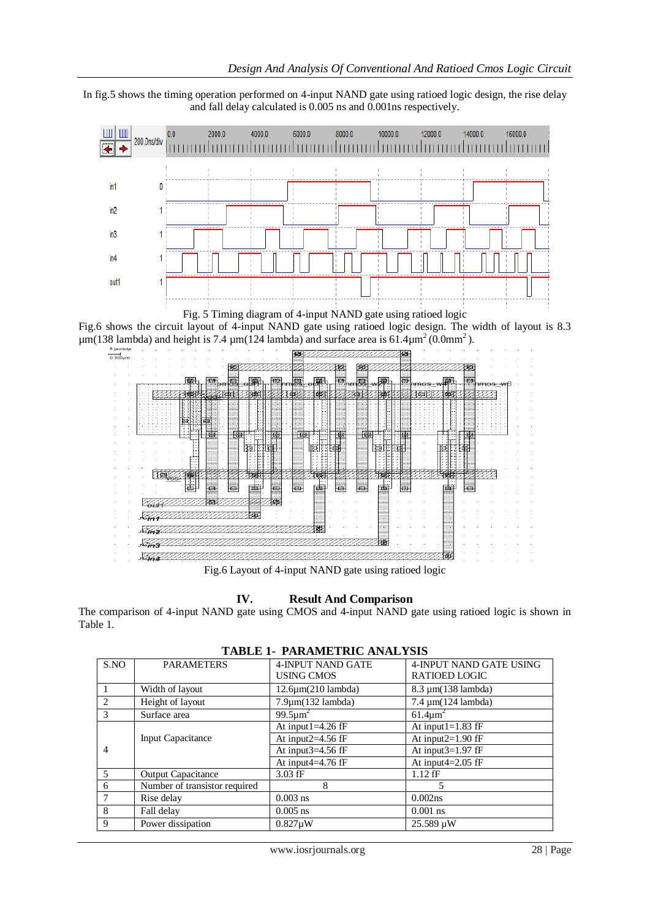In fig.5 shows the timing operation performed on 4-input NAND gate using ratioed logic design, the rise delay and fall delay calculated is 0.005 ns and 0.001ns respectively.



Fig. 5 Timing diagram of 4-input NAND gate using ratioed logic

Fig.6 shows the circuit layout of 4-input NAND gate using ratioed logic design. The width of layout is 8.3  $\mu$ m(138 lambda) and height is 7.4  $\mu$ m(124 lambda) and surface area is 61.4 $\mu$ m<sup>2</sup> (0.0mm<sup>2</sup>).



Fig.6 Layout of 4-input NAND gate using ratioed logic

## **IV. Result And Comparison**

The comparison of 4-input NAND gate using CMOS and 4-input NAND gate using ratioed logic is shown in Table 1.

| S.NO           | <b>PARAMETERS</b>             | 4-INPUT NAND GATE<br>USING CMOS | 4-INPUT NAND GATE USING<br><b>RATIOED LOGIC</b> |
|----------------|-------------------------------|---------------------------------|-------------------------------------------------|
|                | Width of layout               | $12.6\mu m(210 \lambda)$        | 8.3 µm(138 lambda)                              |
| $\mathfrak{D}$ | Height of layout              | $7.9 \mu m(132 \lambda)$        | $7.4 \mu m(124 \lambda)$                        |
| $\mathcal{R}$  | Surface area                  | 99.5 $\mu$ m <sup>2</sup>       | $61.4 \text{µm}^2$                              |
|                |                               | At input $1=4.26$ fF            | At input $1=1.83$ fF                            |
|                | <b>Input Capacitance</b>      | At input $2=4.56$ fF            | At input $2=1.90$ fF                            |
| $\overline{4}$ |                               | At input $3=4.56$ fF            | At input $3=1.97$ fF                            |
|                |                               | At input $4=4.76$ fF            | At input $4=2.05$ fF                            |
| $\sim$         | <b>Output Capacitance</b>     | $3.03$ fF                       | $1.12$ fF                                       |
| 6              | Number of transistor required | 8                               |                                                 |
|                | Rise delay                    | $0.003$ ns                      | 0.002ns                                         |
| 8              | Fall delay                    | $0.005$ ns                      | $0.001$ ns                                      |
| 9              | Power dissipation             | $0.827 \mu W$                   | 25.589 µW                                       |

**TABLE 1- PARAMETRIC ANALYSIS**